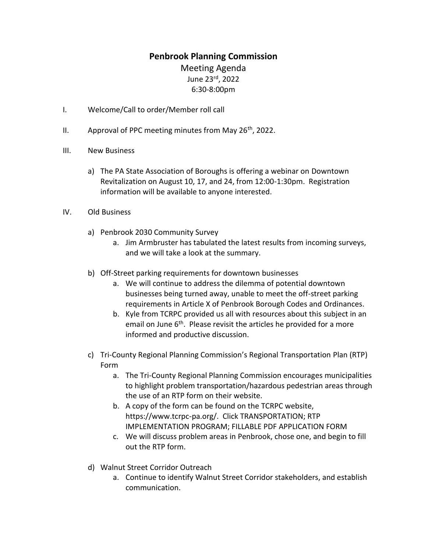## **Penbrook Planning Commission**

Meeting Agenda June 23rd, 2022 6:30-8:00pm

- I. Welcome/Call to order/Member roll call
- II. Approval of PPC meeting minutes from May  $26<sup>th</sup>$ , 2022.
- III. New Business
	- a) The PA State Association of Boroughs is offering a webinar on Downtown Revitalization on August 10, 17, and 24, from 12:00-1:30pm. Registration information will be available to anyone interested.
- IV. Old Business
	- a) Penbrook 2030 Community Survey
		- a. Jim Armbruster has tabulated the latest results from incoming surveys, and we will take a look at the summary.
	- b) Off-Street parking requirements for downtown businesses
		- a. We will continue to address the dilemma of potential downtown businesses being turned away, unable to meet the off-street parking requirements in Article X of Penbrook Borough Codes and Ordinances.
		- b. Kyle from TCRPC provided us all with resources about this subject in an email on June  $6<sup>th</sup>$ . Please revisit the articles he provided for a more informed and productive discussion.
	- c) Tri-County Regional Planning Commission's Regional Transportation Plan (RTP) Form
		- a. The Tri-County Regional Planning Commission encourages municipalities to highlight problem transportation/hazardous pedestrian areas through the use of an RTP form on their website.
		- b. A copy of the form can be found on the TCRPC website, https://www.tcrpc-pa.org/. Click TRANSPORTATION; RTP IMPLEMENTATION PROGRAM; FILLABLE PDF APPLICATION FORM
		- c. We will discuss problem areas in Penbrook, chose one, and begin to fill out the RTP form.
	- d) Walnut Street Corridor Outreach
		- a. Continue to identify Walnut Street Corridor stakeholders, and establish communication.